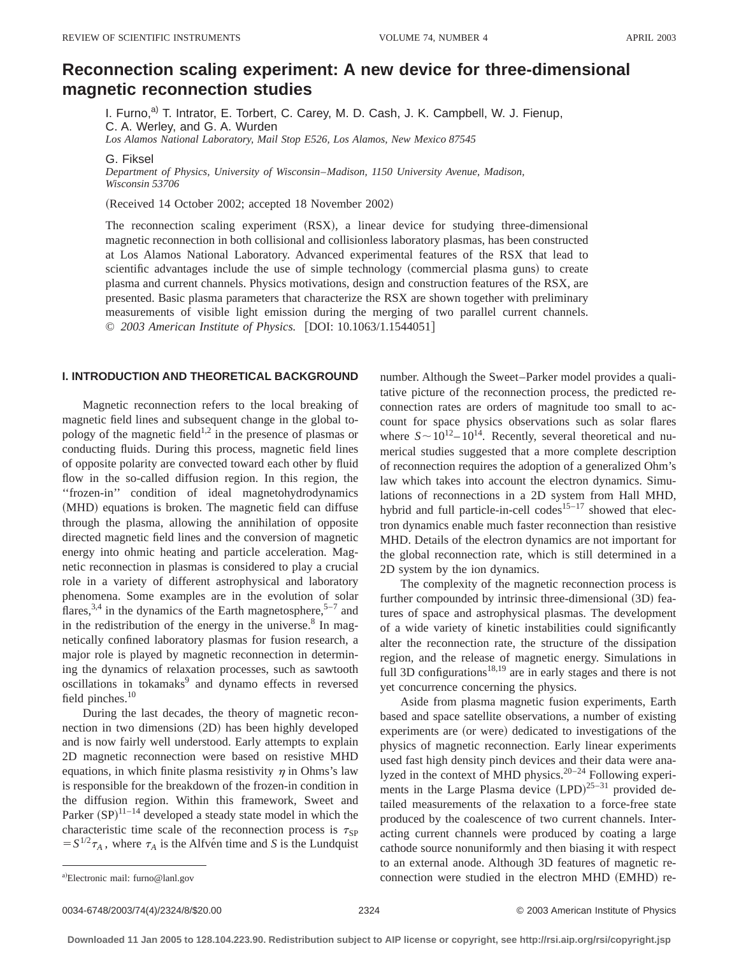# **Reconnection scaling experiment: A new device for three-dimensional magnetic reconnection studies**

I. Furno, $a^0$  T. Intrator, E. Torbert, C. Carey, M. D. Cash, J. K. Campbell, W. J. Fienup, C. A. Werley, and G. A. Wurden *Los Alamos National Laboratory, Mail Stop E526, Los Alamos, New Mexico 87545*

G. Fiksel

*Department of Physics, University of Wisconsin*–*Madison, 1150 University Avenue, Madison, Wisconsin 53706*

(Received 14 October 2002; accepted 18 November 2002)

The reconnection scaling experiment  $(RSX)$ , a linear device for studying three-dimensional magnetic reconnection in both collisional and collisionless laboratory plasmas, has been constructed at Los Alamos National Laboratory. Advanced experimental features of the RSX that lead to scientific advantages include the use of simple technology (commercial plasma guns) to create plasma and current channels. Physics motivations, design and construction features of the RSX, are presented. Basic plasma parameters that characterize the RSX are shown together with preliminary measurements of visible light emission during the merging of two parallel current channels. © *2003 American Institute of Physics.* [DOI: 10.1063/1.1544051]

# **I. INTRODUCTION AND THEORETICAL BACKGROUND**

Magnetic reconnection refers to the local breaking of magnetic field lines and subsequent change in the global topology of the magnetic field<sup>1,2</sup> in the presence of plasmas or conducting fluids. During this process, magnetic field lines of opposite polarity are convected toward each other by fluid flow in the so-called diffusion region. In this region, the ''frozen-in'' condition of ideal magnetohydrodynamics (MHD) equations is broken. The magnetic field can diffuse through the plasma, allowing the annihilation of opposite directed magnetic field lines and the conversion of magnetic energy into ohmic heating and particle acceleration. Magnetic reconnection in plasmas is considered to play a crucial role in a variety of different astrophysical and laboratory phenomena. Some examples are in the evolution of solar flares,  $3,4$  in the dynamics of the Earth magnetosphere,  $5-7$  and in the redistribution of the energy in the universe. $8 \text{ In } mag$ netically confined laboratory plasmas for fusion research, a major role is played by magnetic reconnection in determining the dynamics of relaxation processes, such as sawtooth oscillations in tokamaks<sup>9</sup> and dynamo effects in reversed field pinches. $10$ 

During the last decades, the theory of magnetic reconnection in two dimensions (2D) has been highly developed and is now fairly well understood. Early attempts to explain 2D magnetic reconnection were based on resistive MHD equations, in which finite plasma resistivity  $\eta$  in Ohms's law is responsible for the breakdown of the frozen-in condition in the diffusion region. Within this framework, Sweet and Parker  $(SP)^{11-14}$  developed a steady state model in which the characteristic time scale of the reconnection process is  $\tau_{SP}$  $S^{1/2} \tau_A$ , where  $\tau_A$  is the Alfve<sup>i</sup>n time and *S* is the Lundquist number. Although the Sweet–Parker model provides a qualitative picture of the reconnection process, the predicted reconnection rates are orders of magnitude too small to account for space physics observations such as solar flares where  $S \sim 10^{12} - 10^{14}$ . Recently, several theoretical and numerical studies suggested that a more complete description of reconnection requires the adoption of a generalized Ohm's law which takes into account the electron dynamics. Simulations of reconnections in a 2D system from Hall MHD, hybrid and full particle-in-cell codes<sup>15-17</sup> showed that electron dynamics enable much faster reconnection than resistive MHD. Details of the electron dynamics are not important for the global reconnection rate, which is still determined in a 2D system by the ion dynamics.

The complexity of the magnetic reconnection process is further compounded by intrinsic three-dimensional (3D) features of space and astrophysical plasmas. The development of a wide variety of kinetic instabilities could significantly alter the reconnection rate, the structure of the dissipation region, and the release of magnetic energy. Simulations in full 3D configurations<sup>18,19</sup> are in early stages and there is not yet concurrence concerning the physics.

Aside from plasma magnetic fusion experiments, Earth based and space satellite observations, a number of existing experiments are (or were) dedicated to investigations of the physics of magnetic reconnection. Early linear experiments used fast high density pinch devices and their data were analyzed in the context of MHD physics.<sup>20–24</sup> Following experiments in the Large Plasma device  $(LPD)^{25-31}$  provided detailed measurements of the relaxation to a force-free state produced by the coalescence of two current channels. Interacting current channels were produced by coating a large cathode source nonuniformly and then biasing it with respect to an external anode. Although 3D features of magnetic reconnection were studied in the electron MHD (EMHD) re-

a)Electronic mail: furno@lanl.gov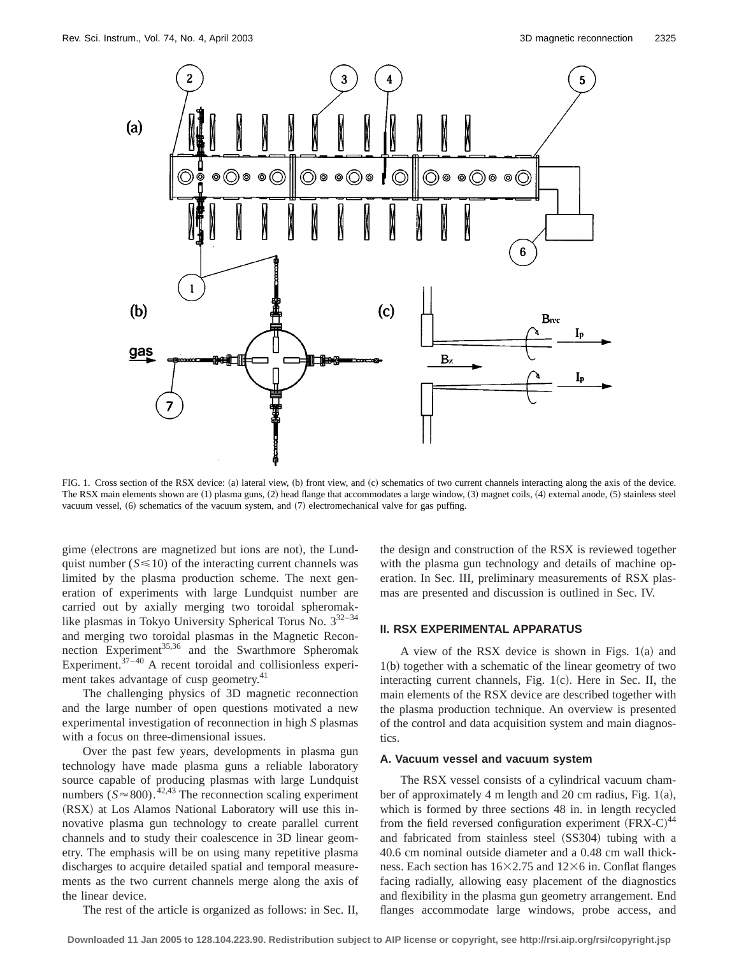

FIG. 1. Cross section of the RSX device: (a) lateral view, (b) front view, and (c) schematics of two current channels interacting along the axis of the device. The RSX main elements shown are  $(1)$  plasma guns,  $(2)$  head flange that accommodates a large window,  $(3)$  magnet coils,  $(4)$  external anode,  $(5)$  stainless steel vacuum vessel,  $(6)$  schematics of the vacuum system, and  $(7)$  electromechanical valve for gas puffing.

gime (electrons are magnetized but ions are not), the Lundquist number  $(S \le 10)$  of the interacting current channels was limited by the plasma production scheme. The next generation of experiments with large Lundquist number are carried out by axially merging two toroidal spheromaklike plasmas in Tokyo University Spherical Torus No.  $3^{32-34}$ and merging two toroidal plasmas in the Magnetic Reconnection Experiment<sup>35,36</sup> and the Swarthmore Spheromak Experiment. $37-40$  A recent toroidal and collisionless experiment takes advantage of cusp geometry.<sup>41</sup>

The challenging physics of 3D magnetic reconnection and the large number of open questions motivated a new experimental investigation of reconnection in high *S* plasmas with a focus on three-dimensional issues.

Over the past few years, developments in plasma gun technology have made plasma guns a reliable laboratory source capable of producing plasmas with large Lundquist numbers ( $S \approx 800$ ).<sup>42,43</sup> The reconnection scaling experiment (RSX) at Los Alamos National Laboratory will use this innovative plasma gun technology to create parallel current channels and to study their coalescence in 3D linear geometry. The emphasis will be on using many repetitive plasma discharges to acquire detailed spatial and temporal measurements as the two current channels merge along the axis of the linear device.

The rest of the article is organized as follows: in Sec. II,

the design and construction of the RSX is reviewed together with the plasma gun technology and details of machine operation. In Sec. III, preliminary measurements of RSX plasmas are presented and discussion is outlined in Sec. IV.

# **II. RSX EXPERIMENTAL APPARATUS**

A view of the RSX device is shown in Figs.  $1(a)$  and  $1(b)$  together with a schematic of the linear geometry of two interacting current channels, Fig.  $1(c)$ . Here in Sec. II, the main elements of the RSX device are described together with the plasma production technique. An overview is presented of the control and data acquisition system and main diagnostics.

#### **A. Vacuum vessel and vacuum system**

The RSX vessel consists of a cylindrical vacuum chamber of approximately 4 m length and 20 cm radius, Fig.  $1(a)$ , which is formed by three sections 48 in. in length recycled from the field reversed configuration experiment  $(FRX-C)^{44}$ and fabricated from stainless steel (SS304) tubing with a 40.6 cm nominal outside diameter and a 0.48 cm wall thickness. Each section has  $16\times2.75$  and  $12\times6$  in. Conflat flanges facing radially, allowing easy placement of the diagnostics and flexibility in the plasma gun geometry arrangement. End flanges accommodate large windows, probe access, and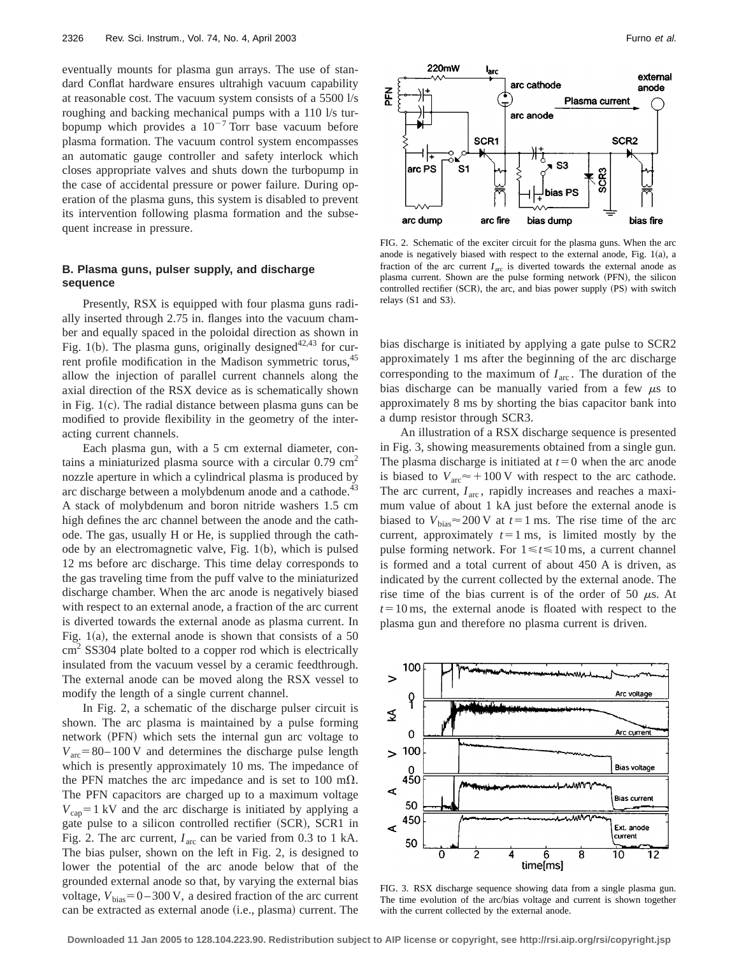eventually mounts for plasma gun arrays. The use of standard Conflat hardware ensures ultrahigh vacuum capability at reasonable cost. The vacuum system consists of a 5500 l/s roughing and backing mechanical pumps with a 110 l/s turbopump which provides a  $10^{-7}$  Torr base vacuum before plasma formation. The vacuum control system encompasses an automatic gauge controller and safety interlock which closes appropriate valves and shuts down the turbopump in the case of accidental pressure or power failure. During operation of the plasma guns, this system is disabled to prevent its intervention following plasma formation and the subsequent increase in pressure.

# **B. Plasma guns, pulser supply, and discharge sequence**

Presently, RSX is equipped with four plasma guns radially inserted through 2.75 in. flanges into the vacuum chamber and equally spaced in the poloidal direction as shown in Fig. 1(b). The plasma guns, originally designed<sup>42,43</sup> for current profile modification in the Madison symmetric torus, 45 allow the injection of parallel current channels along the axial direction of the RSX device as is schematically shown in Fig.  $1(c)$ . The radial distance between plasma guns can be modified to provide flexibility in the geometry of the interacting current channels.

Each plasma gun, with a 5 cm external diameter, contains a miniaturized plasma source with a circular 0.79 cm<sup>2</sup> nozzle aperture in which a cylindrical plasma is produced by arc discharge between a molybdenum anode and a cathode.<sup>43</sup> A stack of molybdenum and boron nitride washers 1.5 cm high defines the arc channel between the anode and the cathode. The gas, usually H or He, is supplied through the cathode by an electromagnetic valve, Fig.  $1(b)$ , which is pulsed 12 ms before arc discharge. This time delay corresponds to the gas traveling time from the puff valve to the miniaturized discharge chamber. When the arc anode is negatively biased with respect to an external anode, a fraction of the arc current is diverted towards the external anode as plasma current. In Fig. 1(a), the external anode is shown that consists of a  $50$ cm<sup>2</sup> SS304 plate bolted to a copper rod which is electrically insulated from the vacuum vessel by a ceramic feedthrough. The external anode can be moved along the RSX vessel to modify the length of a single current channel.

In Fig. 2, a schematic of the discharge pulser circuit is shown. The arc plasma is maintained by a pulse forming network (PFN) which sets the internal gun arc voltage to  $V_{\text{arc}}$ =80–100 V and determines the discharge pulse length which is presently approximately 10 ms. The impedance of the PFN matches the arc impedance and is set to 100 m $\Omega$ . The PFN capacitors are charged up to a maximum voltage  $V_{\text{cap}}=1$  kV and the arc discharge is initiated by applying a gate pulse to a silicon controlled rectifier (SCR), SCR1 in Fig. 2. The arc current,  $I_{\text{arc}}$  can be varied from 0.3 to 1 kA. The bias pulser, shown on the left in Fig. 2, is designed to lower the potential of the arc anode below that of the grounded external anode so that, by varying the external bias voltage,  $V_{bias} = 0 - 300 \text{ V}$ , a desired fraction of the arc current can be extracted as external anode (i.e., plasma) current. The



FIG. 2. Schematic of the exciter circuit for the plasma guns. When the arc anode is negatively biased with respect to the external anode, Fig.  $1(a)$ , a fraction of the arc current  $I_{\text{arc}}$  is diverted towards the external anode as plasma current. Shown are the pulse forming network (PFN), the silicon controlled rectifier (SCR), the arc, and bias power supply (PS) with switch relays  $(S1$  and  $S3)$ .

bias discharge is initiated by applying a gate pulse to SCR2 approximately 1 ms after the beginning of the arc discharge corresponding to the maximum of  $I_{\text{arc}}$ . The duration of the bias discharge can be manually varied from a few  $\mu$ s to approximately 8 ms by shorting the bias capacitor bank into a dump resistor through SCR3.

An illustration of a RSX discharge sequence is presented in Fig. 3, showing measurements obtained from a single gun. The plasma discharge is initiated at  $t=0$  when the arc anode is biased to  $V_{\text{arc}} \approx +100 \text{ V}$  with respect to the arc cathode. The arc current,  $I_{\text{arc}}$ , rapidly increases and reaches a maximum value of about 1 kA just before the external anode is biased to  $V_{\text{bias}} \approx 200 \text{ V}$  at  $t=1 \text{ ms}$ . The rise time of the arc current, approximately  $t=1$  ms, is limited mostly by the pulse forming network. For  $1 \le t \le 10$  ms, a current channel is formed and a total current of about 450 A is driven, as indicated by the current collected by the external anode. The rise time of the bias current is of the order of 50  $\mu$ s. At  $t=10$  ms, the external anode is floated with respect to the plasma gun and therefore no plasma current is driven.



FIG. 3. RSX discharge sequence showing data from a single plasma gun. The time evolution of the arc/bias voltage and current is shown together with the current collected by the external anode.

**Downloaded 11 Jan 2005 to 128.104.223.90. Redistribution subject to AIP license or copyright, see http://rsi.aip.org/rsi/copyright.jsp**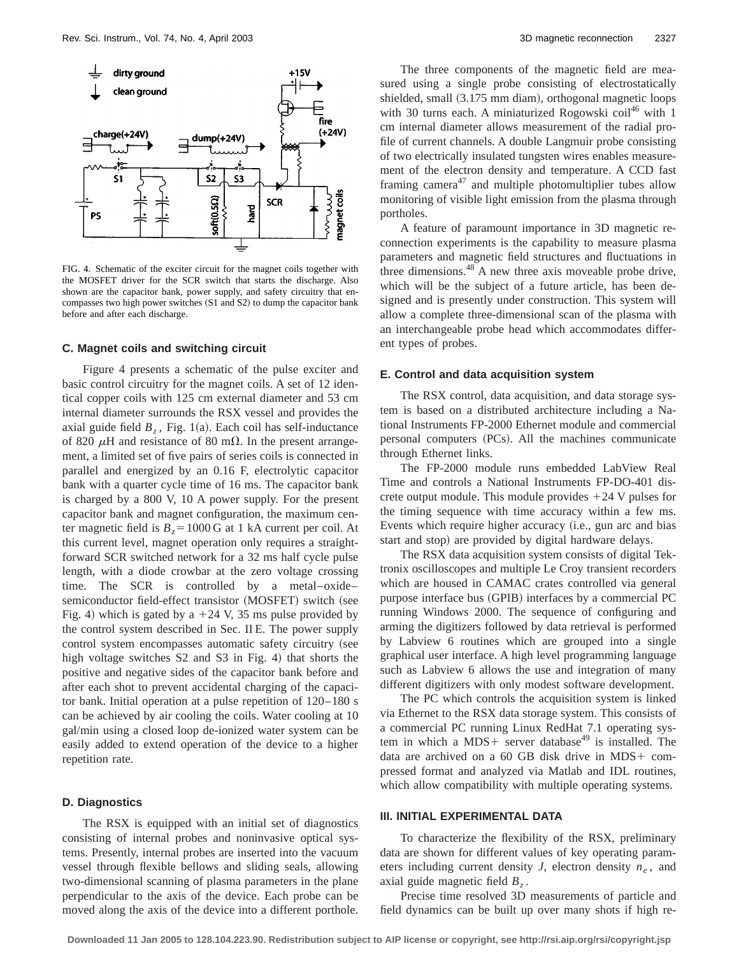

FIG. 4. Schematic of the exciter circuit for the magnet coils together with the MOSFET driver for the SCR switch that starts the discharge. Also shown are the capacitor bank, power supply, and safety circuitry that encompasses two high power switches (S1 and S2) to dump the capacitor bank before and after each discharge.

#### **C. Magnet coils and switching circuit**

Figure 4 presents a schematic of the pulse exciter and basic control circuitry for the magnet coils. A set of 12 identical copper coils with 125 cm external diameter and 53 cm internal diameter surrounds the RSX vessel and provides the axial guide field  $B<sub>z</sub>$ , Fig. 1(a). Each coil has self-inductance of 820  $\mu$ H and resistance of 80 m $\Omega$ . In the present arrangement, a limited set of five pairs of series coils is connected in parallel and energized by an 0.16 F, electrolytic capacitor bank with a quarter cycle time of 16 ms. The capacitor bank is charged by a 800 V, 10 A power supply. For the present capacitor bank and magnet configuration, the maximum center magnetic field is  $B_z = 1000$  G at 1 kA current per coil. At this current level, magnet operation only requires a straightforward SCR switched network for a 32 ms half cycle pulse length, with a diode crowbar at the zero voltage crossing time. The SCR is controlled by a metal–oxide– semiconductor field-effect transistor (MOSFET) switch (see Fig. 4) which is gated by a  $+24$  V, 35 ms pulse provided by the control system described in Sec. II E. The power supply control system encompasses automatic safety circuitry (see high voltage switches  $S2$  and  $S3$  in Fig. 4) that shorts the positive and negative sides of the capacitor bank before and after each shot to prevent accidental charging of the capacitor bank. Initial operation at a pulse repetition of 120–180 s can be achieved by air cooling the coils. Water cooling at 10 gal/min using a closed loop de-ionized water system can be easily added to extend operation of the device to a higher repetition rate.

## **D. Diagnostics**

The RSX is equipped with an initial set of diagnostics consisting of internal probes and noninvasive optical systems. Presently, internal probes are inserted into the vacuum vessel through flexible bellows and sliding seals, allowing two-dimensional scanning of plasma parameters in the plane perpendicular to the axis of the device. Each probe can be moved along the axis of the device into a different porthole.

The three components of the magnetic field are measured using a single probe consisting of electrostatically shielded, small (3.175 mm diam), orthogonal magnetic loops with 30 turns each. A miniaturized Rogowski  $\text{coil}^{46}$  with 1 cm internal diameter allows measurement of the radial profile of current channels. A double Langmuir probe consisting of two electrically insulated tungsten wires enables measurement of the electron density and temperature. A CCD fast framing camera<sup>47</sup> and multiple photomultiplier tubes allow monitoring of visible light emission from the plasma through portholes.

A feature of paramount importance in 3D magnetic reconnection experiments is the capability to measure plasma parameters and magnetic field structures and fluctuations in three dimensions.<sup>48</sup> A new three axis moveable probe drive, which will be the subject of a future article, has been designed and is presently under construction. This system will allow a complete three-dimensional scan of the plasma with an interchangeable probe head which accommodates different types of probes.

#### **E. Control and data acquisition system**

The RSX control, data acquisition, and data storage system is based on a distributed architecture including a National Instruments FP-2000 Ethernet module and commercial personal computers (PCs). All the machines communicate through Ethernet links.

The FP-2000 module runs embedded LabView Real Time and controls a National Instruments FP-DO-401 discrete output module. This module provides  $+24$  V pulses for the timing sequence with time accuracy within a few ms. Events which require higher accuracy (i.e., gun arc and bias start and stop) are provided by digital hardware delays.

The RSX data acquisition system consists of digital Tektronix oscilloscopes and multiple Le Croy transient recorders which are housed in CAMAC crates controlled via general purpose interface bus (GPIB) interfaces by a commercial PC running Windows 2000. The sequence of configuring and arming the digitizers followed by data retrieval is performed by Labview 6 routines which are grouped into a single graphical user interface. A high level programming language such as Labview 6 allows the use and integration of many different digitizers with only modest software development.

The PC which controls the acquisition system is linked via Ethernet to the RSX data storage system. This consists of a commercial PC running Linux RedHat 7.1 operating system in which a MDS+ server database<sup>49</sup> is installed. The data are archived on a  $60$  GB disk drive in MDS+ compressed format and analyzed via Matlab and IDL routines, which allow compatibility with multiple operating systems.

## **III. INITIAL EXPERIMENTAL DATA**

To characterize the flexibility of the RSX, preliminary data are shown for different values of key operating parameters including current density *J*, electron density  $n_e$ , and axial guide magnetic field  $B<sub>z</sub>$ .

Precise time resolved 3D measurements of particle and field dynamics can be built up over many shots if high re-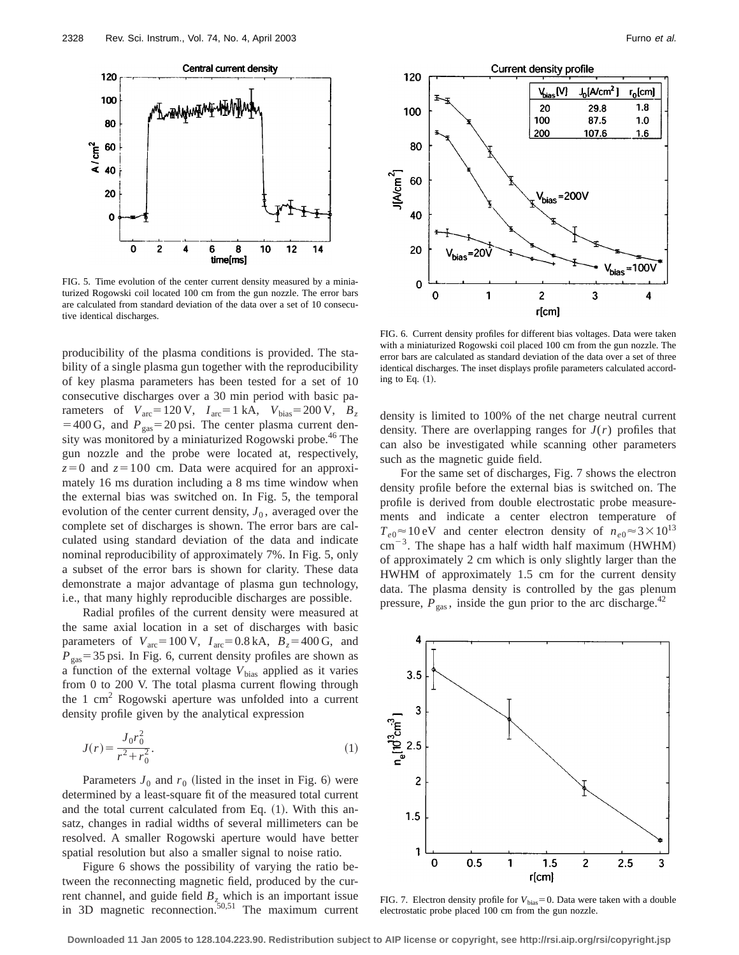

FIG. 5. Time evolution of the center current density measured by a miniaturized Rogowski coil located 100 cm from the gun nozzle. The error bars are calculated from standard deviation of the data over a set of 10 consecutive identical discharges.

producibility of the plasma conditions is provided. The stability of a single plasma gun together with the reproducibility of key plasma parameters has been tested for a set of 10 consecutive discharges over a 30 min period with basic parameters of  $V_{\text{arc}}=120 \text{ V}$ ,  $I_{\text{arc}}=1 \text{ kA}$ ,  $V_{\text{bias}}=200 \text{ V}$ ,  $B_z$  $=400 \text{ G}$ , and  $P_{\text{gas}}=20 \text{ psi}$ . The center plasma current density was monitored by a miniaturized Rogowski probe.<sup>46</sup> The gun nozzle and the probe were located at, respectively,  $z=0$  and  $z=100$  cm. Data were acquired for an approximately 16 ms duration including a 8 ms time window when the external bias was switched on. In Fig. 5, the temporal evolution of the center current density,  $J_0$ , averaged over the complete set of discharges is shown. The error bars are calculated using standard deviation of the data and indicate nominal reproducibility of approximately 7%. In Fig. 5, only a subset of the error bars is shown for clarity. These data demonstrate a major advantage of plasma gun technology, i.e., that many highly reproducible discharges are possible.

Radial profiles of the current density were measured at the same axial location in a set of discharges with basic parameters of  $V_{\text{arc}}=100 \text{ V}$ ,  $I_{\text{arc}}=0.8 \text{ kA}$ ,  $B_z=400 \text{ G}$ , and  $P_{\text{gas}}$ =35 psi. In Fig. 6, current density profiles are shown as a function of the external voltage  $V_{bias}$  applied as it varies from 0 to 200 V. The total plasma current flowing through the 1 cm<sup>2</sup> Rogowski aperture was unfolded into a current density profile given by the analytical expression

$$
J(r) = \frac{J_0 r_0^2}{r^2 + r_0^2}.
$$
 (1)

Parameters  $J_0$  and  $r_0$  (listed in the inset in Fig. 6) were determined by a least-square fit of the measured total current and the total current calculated from Eq.  $(1)$ . With this ansatz, changes in radial widths of several millimeters can be resolved. A smaller Rogowski aperture would have better spatial resolution but also a smaller signal to noise ratio.

Figure 6 shows the possibility of varying the ratio between the reconnecting magnetic field, produced by the current channel, and guide field  $B_z$  which is an important issue in 3D magnetic reconnection.<sup>50,51</sup> The maximum current



FIG. 6. Current density profiles for different bias voltages. Data were taken with a miniaturized Rogowski coil placed 100 cm from the gun nozzle. The error bars are calculated as standard deviation of the data over a set of three identical discharges. The inset displays profile parameters calculated according to Eq.  $(1)$ .

density is limited to 100% of the net charge neutral current density. There are overlapping ranges for  $J(r)$  profiles that can also be investigated while scanning other parameters such as the magnetic guide field.

For the same set of discharges, Fig. 7 shows the electron density profile before the external bias is switched on. The profile is derived from double electrostatic probe measurements and indicate a center electron temperature of  $T_{e0} \approx 10 \text{ eV}$  and center electron density of  $n_{e0} \approx 3 \times 10^{13}$  $cm^{-3}$ . The shape has a half width half maximum (HWHM) of approximately 2 cm which is only slightly larger than the HWHM of approximately 1.5 cm for the current density data. The plasma density is controlled by the gas plenum pressure,  $P_{\text{gas}}$ , inside the gun prior to the arc discharge.<sup>42</sup>



FIG. 7. Electron density profile for  $V_{bias} = 0$ . Data were taken with a double electrostatic probe placed 100 cm from the gun nozzle.

**Downloaded 11 Jan 2005 to 128.104.223.90. Redistribution subject to AIP license or copyright, see http://rsi.aip.org/rsi/copyright.jsp**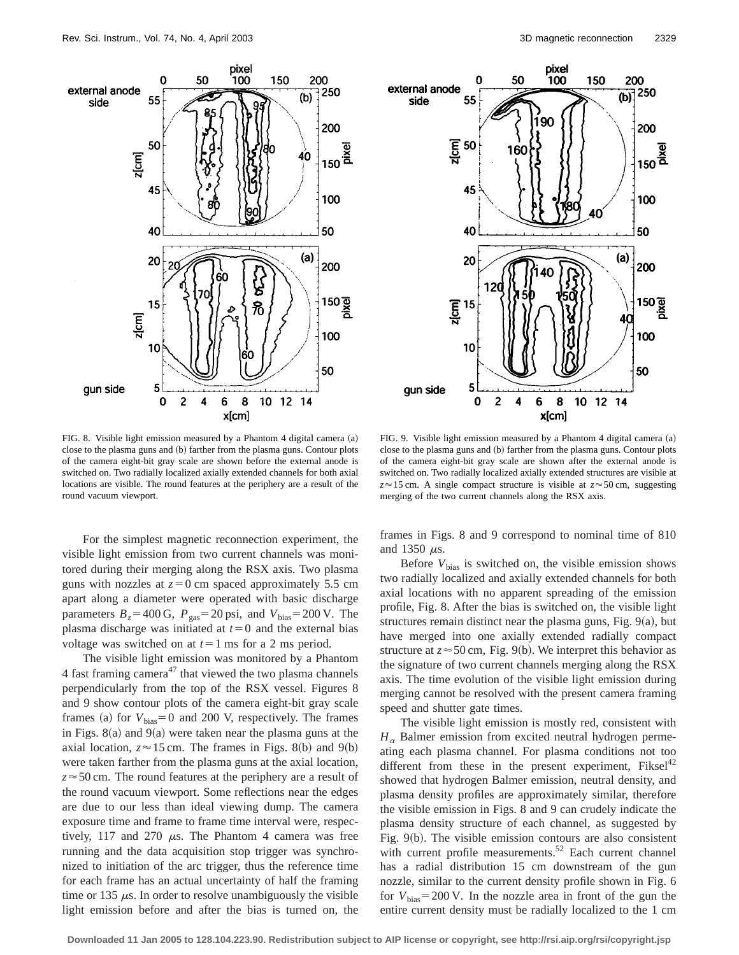



FIG. 8. Visible light emission measured by a Phantom 4 digital camera (a) close to the plasma guns and (b) farther from the plasma guns. Contour plots of the camera eight-bit gray scale are shown before the external anode is switched on. Two radially localized axially extended channels for both axial locations are visible. The round features at the periphery are a result of the round vacuum viewport.

For the simplest magnetic reconnection experiment, the visible light emission from two current channels was monitored during their merging along the RSX axis. Two plasma guns with nozzles at  $z=0$  cm spaced approximately 5.5 cm apart along a diameter were operated with basic discharge parameters  $B_z = 400 \text{ G}$ ,  $P_{\text{gas}} = 20 \text{ psi}$ , and  $V_{\text{bias}} = 200 \text{ V}$ . The plasma discharge was initiated at  $t=0$  and the external bias voltage was switched on at  $t=1$  ms for a 2 ms period.

The visible light emission was monitored by a Phantom 4 fast framing camera<sup>47</sup> that viewed the two plasma channels perpendicularly from the top of the RSX vessel. Figures 8 and 9 show contour plots of the camera eight-bit gray scale frames (a) for  $V_{bias} = 0$  and 200 V, respectively. The frames in Figs.  $8(a)$  and  $9(a)$  were taken near the plasma guns at the axial location,  $z \approx 15$  cm. The frames in Figs. 8(b) and 9(b) were taken farther from the plasma guns at the axial location, *z*≈50 cm. The round features at the periphery are a result of the round vacuum viewport. Some reflections near the edges are due to our less than ideal viewing dump. The camera exposure time and frame to frame time interval were, respectively, 117 and 270  $\mu$ s. The Phantom 4 camera was free running and the data acquisition stop trigger was synchronized to initiation of the arc trigger, thus the reference time for each frame has an actual uncertainty of half the framing time or 135  $\mu$ s. In order to resolve unambiguously the visible light emission before and after the bias is turned on, the

FIG. 9. Visible light emission measured by a Phantom 4 digital camera  $(a)$ close to the plasma guns and (b) farther from the plasma guns. Contour plots of the camera eight-bit gray scale are shown after the external anode is switched on. Two radially localized axially extended structures are visible at  $z \approx 15$  cm. A single compact structure is visible at  $z \approx 50$  cm, suggesting merging of the two current channels along the RSX axis.

frames in Figs. 8 and 9 correspond to nominal time of 810 and 1350  $\mu$ s.

Before  $V_{bias}$  is switched on, the visible emission shows two radially localized and axially extended channels for both axial locations with no apparent spreading of the emission profile, Fig. 8. After the bias is switched on, the visible light structures remain distinct near the plasma guns, Fig.  $9(a)$ , but have merged into one axially extended radially compact structure at  $z \approx 50$  cm, Fig. 9(b). We interpret this behavior as the signature of two current channels merging along the RSX axis. The time evolution of the visible light emission during merging cannot be resolved with the present camera framing speed and shutter gate times.

The visible light emission is mostly red, consistent with  $H_{\alpha}$  Balmer emission from excited neutral hydrogen permeating each plasma channel. For plasma conditions not too different from these in the present experiment,  $Fiksel<sup>42</sup>$ showed that hydrogen Balmer emission, neutral density, and plasma density profiles are approximately similar, therefore the visible emission in Figs. 8 and 9 can crudely indicate the plasma density structure of each channel, as suggested by Fig.  $9(b)$ . The visible emission contours are also consistent with current profile measurements. $52$  Each current channel has a radial distribution 15 cm downstream of the gun nozzle, similar to the current density profile shown in Fig. 6 for  $V_{bias}$ =200 V. In the nozzle area in front of the gun the entire current density must be radially localized to the 1 cm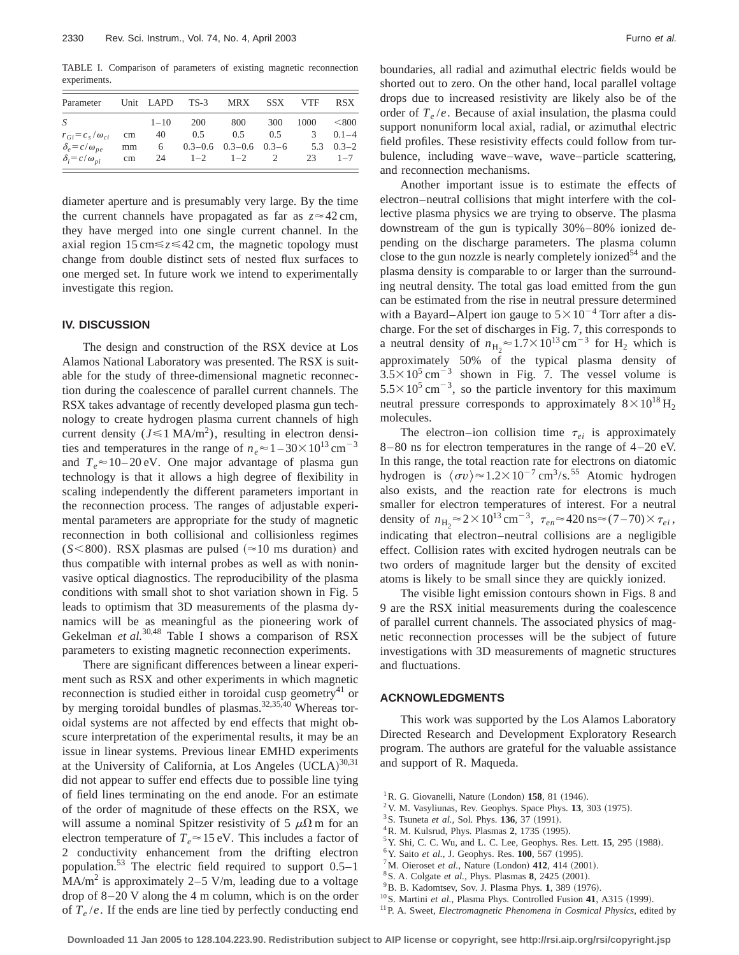TABLE I. Comparison of parameters of existing magnetic reconnection experiments.

| Parameter                  |    |          | Unit LAPD TS-3 MRX SSX              |     |     | <b>VTF</b>      | <b>RSX</b>   |
|----------------------------|----|----------|-------------------------------------|-----|-----|-----------------|--------------|
| -S                         |    | $1 - 10$ | <b>200</b>                          | 800 | 300 | $1000 \leq 800$ |              |
| $r_{Gi} = c_s/\omega_{ci}$ | cm | - 40     | 0.5                                 | 0.5 | 0.5 |                 | $3 \t 0.1-4$ |
| $\delta_e = c/\omega_{ne}$ | mm |          | $6$ 0.3-0.6 0.3-0.6 0.3-6 5.3 0.3-2 |     |     |                 |              |
| $\delta_i = c/\omega_{ni}$ | cm |          | $24 \t 1-2 \t 1-2$                  |     | 2   |                 | $23 \t 1-7$  |

diameter aperture and is presumably very large. By the time the current channels have propagated as far as  $z \approx 42 \text{ cm}$ , they have merged into one single current channel. In the axial region  $15 \text{ cm} \le z \le 42 \text{ cm}$ , the magnetic topology must change from double distinct sets of nested flux surfaces to one merged set. In future work we intend to experimentally investigate this region.

#### **IV. DISCUSSION**

The design and construction of the RSX device at Los Alamos National Laboratory was presented. The RSX is suitable for the study of three-dimensional magnetic reconnection during the coalescence of parallel current channels. The RSX takes advantage of recently developed plasma gun technology to create hydrogen plasma current channels of high current density ( $J \le 1$  MA/m<sup>2</sup>), resulting in electron densities and temperatures in the range of  $n_e \approx 1 - 30 \times 10^{13} \text{ cm}^{-3}$ and  $T_e \approx 10-20$  eV. One major advantage of plasma gun technology is that it allows a high degree of flexibility in scaling independently the different parameters important in the reconnection process. The ranges of adjustable experimental parameters are appropriate for the study of magnetic reconnection in both collisional and collisionless regimes  $(S<800)$ . RSX plasmas are pulsed ( $\approx$ 10 ms duration) and thus compatible with internal probes as well as with noninvasive optical diagnostics. The reproducibility of the plasma conditions with small shot to shot variation shown in Fig. 5 leads to optimism that 3D measurements of the plasma dynamics will be as meaningful as the pioneering work of Gekelman *et al.*<sup>30,48</sup> Table I shows a comparison of RSX parameters to existing magnetic reconnection experiments.

There are significant differences between a linear experiment such as RSX and other experiments in which magnetic reconnection is studied either in toroidal cusp geometry<sup>41</sup> or by merging toroidal bundles of plasmas.<sup>32,35,40</sup> Whereas toroidal systems are not affected by end effects that might obscure interpretation of the experimental results, it may be an issue in linear systems. Previous linear EMHD experiments at the University of California, at Los Angeles  $(UCLA)^{30,31}$ did not appear to suffer end effects due to possible line tying of field lines terminating on the end anode. For an estimate of the order of magnitude of these effects on the RSX, we will assume a nominal Spitzer resistivity of 5  $\mu\Omega$  m for an electron temperature of  $T_e \approx 15 \text{ eV}$ . This includes a factor of 2 conductivity enhancement from the drifting electron population.<sup>53</sup> The electric field required to support  $0.5-1$  $MA/m<sup>2</sup>$  is approximately 2–5 V/m, leading due to a voltage drop of 8–20 V along the 4 m column, which is on the order of *Te* /*e*. If the ends are line tied by perfectly conducting end boundaries, all radial and azimuthal electric fields would be shorted out to zero. On the other hand, local parallel voltage drops due to increased resistivity are likely also be of the order of  $T_e/e$ . Because of axial insulation, the plasma could support nonuniform local axial, radial, or azimuthal electric field profiles. These resistivity effects could follow from turbulence, including wave–wave, wave–particle scattering, and reconnection mechanisms.

Another important issue is to estimate the effects of electron–neutral collisions that might interfere with the collective plasma physics we are trying to observe. The plasma downstream of the gun is typically 30%–80% ionized depending on the discharge parameters. The plasma column close to the gun nozzle is nearly completely ionized<sup>54</sup> and the plasma density is comparable to or larger than the surrounding neutral density. The total gas load emitted from the gun can be estimated from the rise in neutral pressure determined with a Bayard–Alpert ion gauge to  $5 \times 10^{-4}$  Torr after a discharge. For the set of discharges in Fig. 7, this corresponds to a neutral density of  $n_{\text{H}_2} \approx 1.7 \times 10^{13} \text{ cm}^{-3}$  for H<sub>2</sub> which is approximately 50% of the typical plasma density of  $3.5 \times 10^5$  cm<sup>-3</sup> shown in Fig. 7. The vessel volume is  $5.5 \times 10^5$  cm<sup>-3</sup>, so the particle inventory for this maximum neutral pressure corresponds to approximately  $8 \times 10^{18}$  H<sub>2</sub> molecules.

The electron–ion collision time  $\tau_{ei}$  is approximately 8–80 ns for electron temperatures in the range of 4–20 eV. In this range, the total reaction rate for electrons on diatomic hydrogen is  $\langle \sigma v \rangle \approx 1.2 \times 10^{-7}$  cm<sup>3</sup>/s.<sup>55</sup> Atomic hydrogen also exists, and the reaction rate for electrons is much smaller for electron temperatures of interest. For a neutral density of  $n_{\text{H}_2} \approx 2 \times 10^{13} \text{ cm}^{-3}$ ,  $\tau_{en} \approx 420 \text{ ns} \approx (7 - 70) \times \tau_{ei}$ , indicating that electron–neutral collisions are a negligible effect. Collision rates with excited hydrogen neutrals can be two orders of magnitude larger but the density of excited atoms is likely to be small since they are quickly ionized.

The visible light emission contours shown in Figs. 8 and 9 are the RSX initial measurements during the coalescence of parallel current channels. The associated physics of magnetic reconnection processes will be the subject of future investigations with 3D measurements of magnetic structures and fluctuations.

#### **ACKNOWLEDGMENTS**

This work was supported by the Los Alamos Laboratory Directed Research and Development Exploratory Research program. The authors are grateful for the valuable assistance and support of R. Maqueda.

- ${}^{1}$ R. G. Giovanelli, Nature (London) **158**, 81 (1946).
- <sup>2</sup>V. M. Vasyliunas, Rev. Geophys. Space Phys. **13**, 303 (1975).
- <sup>3</sup> S. Tsuneta *et al.*, Sol. Phys. **136**, 37 (1991).
- <sup>4</sup> R. M. Kulsrud, Phys. Plasmas 2, 1735 (1995).
- $5$ Y. Shi, C. C. Wu, and L. C. Lee, Geophys. Res. Lett. **15**, 295 (1988).
- <sup>6</sup> Y. Saito et al., J. Geophys. Res. **100**, 567 (1995).
- <sup>7</sup>M. Oieroset *et al.*, Nature (London) **412**, 414  $(2001)$ .
- <sup>8</sup> S. A. Colgate *et al.*, Phys. Plasmas 8, 2425 (2001).
- $^{9}$ B. B. Kadomtsev, Sov. J. Plasma Phys. 1, 389 (1976).
- <sup>10</sup>S. Martini et al., Plasma Phys. Controlled Fusion 41, A315 (1999).
- <sup>11</sup> P. A. Sweet, *Electromagnetic Phenomena in Cosmical Physics*, edited by